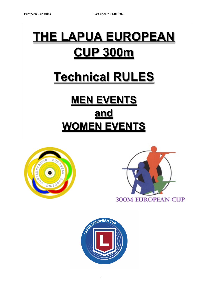# **THE LAPUA EUROPEAN CUP 300m Technical RULES**

# **MEN EVENTS and WOMEN EVENTS**





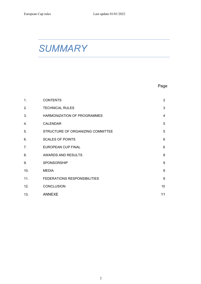## *SUMMARY*

### Page

| 1.  | <b>CONTENTS</b>                   | $\overline{2}$ |
|-----|-----------------------------------|----------------|
| 2.  | <b>TECHNICAL RULES</b>            | 3              |
| 3.  | HARMONIZATION OF PROGRAMMES       | $\overline{4}$ |
| 4.  | <b>CALENDAR</b>                   | 5              |
| 5.  | STRUCTURE OF ORGANIZING COMMITTEE | 5              |
| 6.  | <b>SCALES OF POINTS</b>           | 6              |
| 7.  | EUROPEAN CUP FINAL                | 6              |
| 8.  | AWARDS AND RESULTS                | 8              |
| 9.  | SPONSORSHIP                       | 9              |
| 10. | <b>MEDIA</b>                      | 9              |
| 11. | FEDERATIONS RESPONSIBILITIES      | 9              |
| 12. | <b>CONCLUSION</b>                 | 10             |
| 13. | <b>ANNEXE</b>                     | 11             |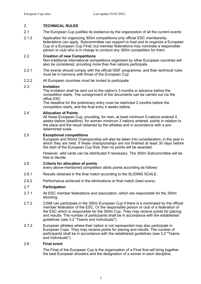#### 2. **TECHNICAL RULES**

- 2.1 The European Cup justifies its existence by the organization of all the current events
- 2.1.2 Application for organizing 300m competitions only official ESC membership federations can apply. Subcommittee can support to host and to organize a European Cup or a European Cup Final, but member federations may nominate a responsible person or club who is in charge to conduct any 300m competition for them.

#### 2.2 **Creation of new Competitions**

Non-traditional international competitions organised by other European countries will also be considered, providing more than five nations participate.

- 2.2.1 The events should comply with the official ISSF programme, and their technical rules must be in harmony with those of the European Cup
- 2.2.2 All European countries must be invited to participate

#### 2.3 **Invitation**

The invitation shall be sent out to the nation's 3 months in advance before the competition starts. The consignment of the documents can be carried out via the office ESC

The deadline for the preliminary entry must be restricted 2 months before the competition starts, and the final entry 4 weeks before.

#### 2.4 **Allocation of Points**

All these European Cup, providing, for men, at least minimum 5 nations entered 4 weeks before (deadline), for women minimum 3 nations entered, points in relation to the place and the result obtained by the athletes and in accordance with a predetermined scale.

#### 2.5 **Exceptional competitions**

European and World Championship will also be taken into consideration, in the year in which they are held. If these championships are not finished at least 30 days before the start of the European Cup final, then no points will be awarded.

However, wild cards can be distributed if necessary. The 300m Subcommittee will be free to decide.

#### 2.6 **Criteria for allocation of points**

every above-mentioned competition allots points according as follows:

- 2.6.1 Results obtained in the final match according to the SLIDING SCALE.
- 2.6.2 Performance achieved in the eliminations or final match (best score).

#### 2.7 **Participation**

- 2.7.1 All ESC member federations and association, which are responsible for the 300m shooting.
- 2.7.2 CISM can participate in the 300m European Cup if there is a nominated by the official member federation of the ESC. Or the responsible person or club of a federation of the ESC which is responsible for the 300m Cup. They may receive points for placing and results. The number of participants shall be in accordance with the established guidelines (see 3.2 "Teams and Individuals").
- 2.7.3 European athletes where their nation is not represented may also participate in European Cups. They may receive points for placing and results. The number of participants shall be in accordance with the established guidelines (see 3.2 "Teams and Individuals").

#### 2.8 **Final event**

The Final of the European Cup is the organization of a Final that will bring together the best European shooters and the designation of a winner in each discipline.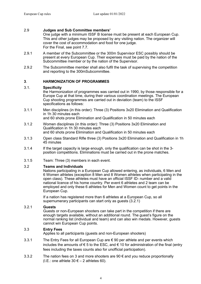#### 2.9 **Judges and Sub Committee members'**

One judge with a minimum ISSF B license must be present at each European Cup. This and other judges may be proposed by any visiting nation. The organizer will cover the cost of accommodation and food for one judge. For the Final, see point 7.7.

- 2.9.1 A member of the Subcommittee or the 300m Supervisor ESC possibly should be present at every European Cup. Their expenses must be paid by the nation of the Subcommittee member or by the nation of the Supervisor.
- 2.9.2 The Subcommittee member shall also fulfil the task of supervising the competition and reporting to the 300mSubcommittee.

#### **3**. **HARMONIZATION OF PROGRAMMES**

#### 3.1. **Specificity**

the Harmonization of programmes was carried out in 1990, by those responsible for a Europe Cup at that time, during their various coordination meetings. The European Cup shooting programmes are carried out in deviation (team) to the ISSF specifications as follows:

- 3.1.1 Men disciplines (in this order): Three (3) Positions 3x20 Elimination and Qualification in 1h 30 minutes each and 60 shots prone Elimination and Qualification in 50 minutes each
- 3.1.2 Women disciplines (in this order): Three (3) Positions 3x20 Elimination and Qualification in 1h 30 minutes each and 60 shots prone Elimination and Qualification in 50 minutes each
- 3.1.3 Open class Standard Rifle three (3) Positions 3x20 Elimination and Qualification in 1h 45 minutes
- 3.1.4 If the target capacity is large enough, only the qualification can be shot in the 3 position competitions. Eliminations must be carried out in the prone matches.
- 3.1.5 Team: Three (3) members in each event.

#### 3.2 **Teams and Individuals**

Nations participating in a European Cup allowed entering, as individuals, 6 Men and 6 Women athletes (exception 8 Men and 8 Women athletes when participating in the open class). These athletes must have an official ISSF ID- number and a valid national licence of his home country. Per event 6 athletes and 2 team can be employed and only these 6 athletes for Men and Women count to get points in the European Cup.

If a nation has registered more than 6 athletes at a European Cup, so all supernumerary participants can start only as guests (3.2.1)

#### 3.2.1 **Guests**

Guests or non-European shooters can take part in the competition if there are enough targets available, without an additional round. The guest's figure on the normal ranking list (individual and team) and can also win medals. However, guests cannot win European Cup points.

#### 3.3 **Entry Fees**

Applies to all participants (guests and non-European shooters)

- 3.3.1 The Entry Fees for all European Cup are € 90 per athlete and per events which includes the amounts of  $\epsilon$  5 to the ESC, and  $\epsilon$  10 for administration of the final (entry fees including the taxes counts also for unofficial participation).
- 3.3.2 The nation fees on 3 and more shooters are  $90 \text{ } \epsilon$  and you reduce proportionally (I.E.: one athlete  $30 \in -2$  athletes 60).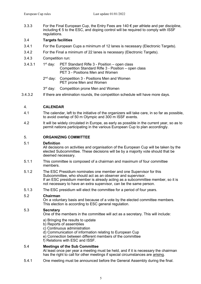3.3.3 For the Final European Cup, the Entry Fees are 140 € per athlete and per discipline, including € 5 to the ESC, and doping control will be required to comply with ISSF regulations.

#### 3.4 **Targets facilities**

- 3.4.1 For the European Cups a minimum of 12 lanes is necessary (Electronic Targets).
- 3.4.2 For the Final a minimum of 22 lanes is necessary (Electronic Targets).
- 3.4.3 Competition run:
- $3.4.3.1$  1st day: PET Standard Rifle 3 Position open class Competition Standard Rifle 3 - Position – open class PET 3 - Positions Men and Women
	- 2<sup>nd</sup> day: Competition 3 Positions Men and Women PET prone Men and Women
	- $3<sup>rd</sup>$  day: Competition prone Men and Women
- 3.4.3.2 If there are elimination rounds, the competition schedule will have more days.

#### 4. **CALENDAR**

- 4.1 The calendar, left to the initiative of the organizers will take care, in so far as possible, to avoid overlap of 50 m Olympic and 300 m ISSF events.
- 4.2 It will be widely circulated in Europe, as early as possible in the current year, so as to permit nations participating in the various European Cup to plan accordingly.

#### 5. **ORGANIZING COMMITTEE**

#### 5.1 **Definition**

All decisions on activities and organisation of the European Cup will be taken by the elected Subcommittee. These decisions will be by a majority vote should that be deemed necessary.

- 5.1.1 This committee is composed of a chairman and maximum of four committee members.
- 5.1.2 The ESC Presidium nominates one member and one Supervisor for this Subcommittee, who should act as an observer and supervisor. If an ESC presidium member is already acting as a subcommittee member, so it is not necessary to have an extra supervisor, can be the same person.
- 5.1.3 The ESC presidium will elect the committee for a period of four years.

#### 5.2 **Chairman**

On a voluntary basis and because of a vote by the elected committee members. This election is according to ESC general regulation.

#### 5.3 **Secretary**

One of the members in the committee will act as a secretary. This will include:

- a) Bringing the results to update
- b) Reports of assemblies
- c) Continuous administration
- d) Communication of information relating to European Cup
- e) Connection between different members of the committee

f) Relations with ESC and ISSF.

#### 5.4 **Meetings of the Sub Committee**

At least once per year a meeting must be held, and if it is necessary the chairman has the right to call for other meetings if special circumstances are arising.

5.4.1 One meeting must be announced before the General Assembly during the final.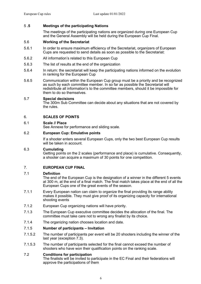#### 5 **.5 Meetings of the participating Nations**

The meetings of the participating nations are organized during one European Cup and the General Assembly will be held during the European Cup Final.

#### 5.6 **Working of the Secretariat**

- 5.6.1 In order to ensure maximum efficiency of the Secretariat, organizers of European Cups are requested to send details as soon as possible to the Secretariat:
- 5.6.2 All information's related to this European Cup
- 5.6.3 The list of results at the end of the organization
- 5.6.4 In return: the secretariat will keep the participating nations informed on the evolution in ranking for the European Cup
- 5.6.5 Communication within the European Cup group must be a priority and be recognized as such by each committee member. In so far as possible the Secretariat will redistribute all information's to the committee members, should it be impossible for them to do so themselves.

#### 5.7 **Special decisions**

The 300m Sub Committee can decide about any situations that are not covered by the rules.

#### 6. **SCALES OF POINTS**

#### 6.1 **Scale // Place**

See Annexe for performance and sliding scale.

#### 6.2 **European Cup: Emulative points**

If a shooter enters several European Cups, only the two best European Cup results will be taken in account.

#### 6.3 **Cumulating**

Getting points on the 2 scales (performance and place) is cumulative. Consequently, a shooter can acquire a maximum of 30 points for one competition.

#### 7. **EUROPEAN CUP FINAL**

#### 7.1 **Definition**

The end of the European Cup is the designation of a winner in the different 5 events at 300 m, at the end of a final match. The final match takes place at the end of all the European Cups one of the great events of the season.

- 7.1.1 Every European nation can claim to organize the final providing its range ability makes it possible. They must give proof of its organizing capacity for international shooting events
- 7.1.2 European Cup organizing nations will have priority.
- 7.1.3 The European Cup executive committee decides the allocation of the final. The committee must take care not to wrong any finalist by its choice.
- 7.1.4 The organizing nation chooses location and date.

#### 7.1.5 **Number of participants – Invitation**

- 7.1.5.2 The number of participants per event will be 20 shooters including the winner of the last year (exception 7.3).
- 7.1.5.3 The number of participants selected for the final cannot exceed the number of shooters who have won their qualification points on the ranking scale.

#### 7.2 **Conditions for participation**

The finalists will be invited to participate in the EC Final and their federations will approve the participations of them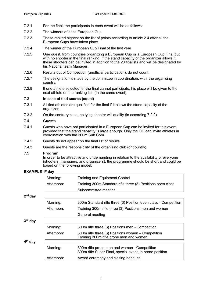- 7.2.1 For the final, the participants in each event will be as follows:
- 7.2.2 The winners of each European Cup
- 7.2.3 Those ranked highest on the list of points according to article 2.4 after all the European Cups have taken place
- 7.2.4 The winner of the European Cup Final of the last year
- 7.2.5 One guest, from countries organizing a European Cup or a European Cup Final but with no shooter in the final ranking. If the stand capacity of the organizer allows it. these shooters can be invited in addition to the 20 finalists and will be designated by his National team Manager.
- 7.2.6 Results out of Competition (unofficial participation), do not count.
- 7.2.7 The designation is made by the committee in coordination, with, the organising country.
- 7.2.8 If one athlete selected for the final cannot participate, his place will be given to the next athlete on the ranking list. (In the same event).

#### 7.3 **In case of tied scores (equal)**

- 7.3.1 All tied athletes are qualified for the final if it allows the stand capacity of the organizer.
- 7.3.2 On the contrary case, no tying shooter will qualify (in according 7.2.2).

#### 7.4 **Guests**

- 7.4.1 Guests who have not participated in a European Cup can be invited for this event, provided that the stand capacity is large enough. Only the OC can invite athletes in coordination with the 300m Sub Com.
- 7.4.2 Guests do not appear on the final list of results.
- 7.4.3 Guests are the responsibility of the organizing club (or country).

#### 7.5 **Program**

In order to be attractive and undemanding in relation to the availability of everyone (shooters, managers, and organizers), the programme should be short and could be based on the following model:

| <b>EXAMPLE 1st day</b> |            |                                                                                                           |  |  |  |  |
|------------------------|------------|-----------------------------------------------------------------------------------------------------------|--|--|--|--|
|                        | Morning:   | <b>Training and Equipment Control</b>                                                                     |  |  |  |  |
|                        | Afternoon: | Training 300m Standard rifle three (3) Positions open class                                               |  |  |  |  |
|                        |            | Subcommittee meeting                                                                                      |  |  |  |  |
| $2nd$ day              |            |                                                                                                           |  |  |  |  |
|                        | Morning:   | 300m Standard rifle three (3) Position open class - Competition                                           |  |  |  |  |
|                        | Afternoon: | Training 300m rifle three (3) Positions men and women                                                     |  |  |  |  |
|                        |            | General meeting                                                                                           |  |  |  |  |
| $3rd$ day              |            |                                                                                                           |  |  |  |  |
|                        | Morning:   | 300m rifle three (3) Positions men - Competition                                                          |  |  |  |  |
|                        | Afternoon: | 300m rifle three (3) Positions women – Competition<br>Training 300m rifle prone men and women             |  |  |  |  |
| 4 <sup>th</sup> day    |            |                                                                                                           |  |  |  |  |
|                        | Morning:   | 300m rifle prone men and women - Competition<br>300m rifle Super Final, special event, in prone position. |  |  |  |  |
|                        | Afternoon: | Award ceremony and closing banquet                                                                        |  |  |  |  |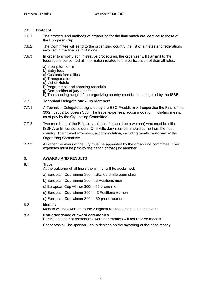#### 7.6 **Protocol**

- 7.6.1 The protocol and methods of organizing for the final match are identical to those of the European Cup.
- 7.6.2 The Committee will send to the organizing country the list of athletes and federations involved in the final as invitations.
- 7.6.3 In order to simplify administrative procedures, the organizer will transmit to the federations concerned all information related to the participation of their athletes:
	- a) Inscription forms
	- b) Entry fees
	- c) Customs formalities
	- d) Transportation
	- e) List of Hotels
	- f) Programmes and shooting schedule
	- g) Composition of jury (optional)
	- h) The shooting range of the organizing country must be homologated by the ISSF.

#### 7.7 **Technical Delegate and Jury Members**

- 7.7.1 A Technical Delegate designated by the ESC Presidium will supervise the Final of the 300m Lapua European Cup. The travel expenses, accommodation, including meals, must pay by the Organizing Committee.
- 7.7.2 Two members of the Rifle Jury (at least 1 should be a woman) who must be either ISSF A or B license holders. One Rifle Jury member should come from the host country. Their travel expenses, accommodation, including meals, must pay by the Organizing Committee.
- 7.7.3 All other members of the jury must be appointed by the organizing committee. Their expenses must be paid by the nation of that jury member

#### 8. **AWARDS AND RESULTS**

#### 8.1 **Titles**

- At the outcome of all finals the winner will be acclaimed:
- a) European Cup winner 300m. Standard rifle open class
- b) European Cup winner 300m. 3 Positions men
- c) European Cup winner 300m. 60 prone men
- d) European Cup winner 300m. 3 Positions women
- e) European Cup winner 300m. 60 prone women

#### 8.2 **Medals**

Medals will be awarded to the 3 highest ranked athletes in each event

#### 8.3 **Non-attendance at award ceremonies**

Participants do not present at award ceremonies will not receive medals.

Sponsorship: The sponsor Lapua decides on the awarding of the prize money.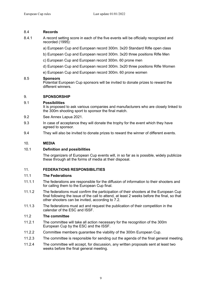#### 8.4 **Records**

- 8.4.1 A record setting score in each of the five events will be officially recognized and recorded (1995):
	- a) European Cup and European record 300m. 3x20 Standard Rifle open class
	- b) European Cup and European record 300m. 3x20 three positions Rifle Men
	- c) European Cup and European record 300m. 60 prone men
	- d) European Cup and European record 300m. 3x20 three positions Rifle Women
	- e) European Cup and European record 300m. 60 prone women

#### 8.5 **Sponsors**

Potential European Cup sponsors will be invited to donate prizes to reward the different winners.

#### 9. **SPONSORSHIP**

#### 9.1 **Possibilities**

It is proposed to ask various companies and manufacturers who are closely linked to the 300m shooting sport to sponsor the final match.

- 9.2 See Annex Lapua 2021.
- 9.3 In case of acceptance they will donate the trophy for the event which they have agreed to sponsor.
- 9.4 They will also be invited to donate prizes to reward the winner of different events.

#### 10. **MEDIA**

#### 10.1 **Definition and possibilities**

The organizers of European Cup events will, in so far as is possible, widely publicize these through all the forms of media at their disposal.

#### 11. **FEDERATIONS RESPONSIBILITIES**

#### 11.1 **The Federations**

- 11.1.1 The federations are responsible for the diffusion of information to their shooters and for calling them to the European Cup final.
- 11.1.2 The federations must confirm the participation of their shooters at the European Cup final following the issue of the call to attend, at least 2 weeks before the final, so that other shooters can be invited, according to 7.2.
- 11.1.3 The federations must act and request the publication of their competition in the calendar of the ESC and ISSF.

#### 11.2 **The committee**

- 11.2.1 The committee will take all action necessary for the recognition of the 300m European Cup by the ESC and the ISSF.
- 11.2.2 Committee members guarantee the viability of the 300m European Cup.
- 11.2.3 The committee is responsible for sending out the agenda of the final general meeting.
- 11.2.4 The committee will accept, for discussion, any written proposals sent at least two weeks before the final general meeting.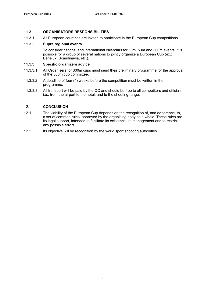#### 11.3 **ORGANISATORS RESPONSIBILITIES**

11.3.1 All European countries are invited to participate in the European Cup competitions.

#### 11.3.2 **Supra regional events**

To consider national and international calendars for 10m, 50m and 300m events, it is possible for a group of several nations to jointly organize a European Cup (ex.: Benelux, Scandinavia, etc.).

#### 11.3.3 **Specific organizers advice**

- 11.3.3.1 All Organisers for 300m cups must send their preliminary programme for the approval of the 300m cup committee.
- 11.3.3.2 A deadline of four (4) weeks before the competition must be written in the programme.
- 11.3.3.3 All transport will be paid by the OC and should be free to all competitors and officials i.e., from the airport to the hotel, and to the shooting range.

#### 12. **CONCLUSION**

- 12.1 The viability of the European Cup depends on the recognition of, and adherence, to, a set of common rules, approved by the organising body as a whole. These rules are its legal support, intended to facilitate its existence, its management and to restrict any possible errors.
- 12.2 Its objective will be recognition by the world sport shooting authorities.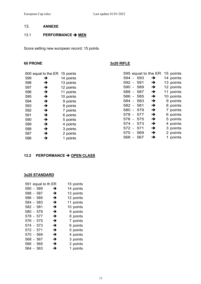#### 13. **ANNEXE**

#### 13.1 **PERFORMANCE > MEN**

Score setting new european record: 15 points

#### **60 PRONE 3x20 RIFLE**

|     | 600 equal to the ER | 15 points |  |
|-----|---------------------|-----------|--|
| 599 | →                   | 14 points |  |
| 598 | →                   | 13 points |  |
| 597 | →                   | 12 points |  |
| 596 | →                   | 11 points |  |
| 595 | →                   | 10 points |  |
| 594 | →                   | 9 points  |  |
| 593 | →                   | 8 points  |  |
| 592 | →                   | 7 points  |  |
| 591 | →                   | 6 points  |  |
| 590 | →                   | 5 points  |  |
| 589 | →                   | 4 points  |  |
| 588 | →                   | 3 points  |  |
| 587 | →                   | 2 points  |  |
| 586 | →                   | 1 points  |  |
|     |                     |           |  |

|       |     | 595 equal to the ER | 15 points |
|-------|-----|---------------------|-----------|
| 594 - | 593 | →                   | 14 points |
| 592 - | 591 | →                   | 13 points |
| 590 - | 589 | →                   | 12 points |
| 588 - | 587 | →                   | 11 points |
| 586 - | 585 | →                   | 10 points |
| 584 - | 583 | →                   | 9 points  |
| 582 - | 581 | →                   | 8 points  |
| 580 - | 579 | →                   | 7 points  |
| 578 - | 577 | →                   | 6 points  |
| 576 - | 575 | →                   | 5 points  |
| 574   | 573 | →                   | 4 points  |
| 572 - | 571 | →                   | 3 points  |
| 570 - | 569 | →                   | 2 points  |
| 568   | 567 | →                   | 1 points  |

#### **13.2 PERFORMANCE → OPEN CLASS**

#### **3x20 STANDARD**

|           | 591 equal to th ER |   |  | 15 points |
|-----------|--------------------|---|--|-----------|
|           | 590 - 589          | → |  | 14 points |
|           | 588 - 587          | → |  | 13 points |
|           | 586 - 585          | → |  | 12 points |
|           | 584 - 583          | → |  | 11 points |
| 582 - 581 |                    | → |  | 10 points |
|           | 580 - 579          | → |  | 9 points  |
|           | 578 - 577          | → |  | 8 points  |
|           | 576 - 575          | → |  | 7 points  |
|           | 574 - 573          | → |  | 6 points  |
| 572 - 571 |                    | → |  | 5 points  |
|           | 570 - 569          | → |  | 4 points  |
|           | 568 - 567          | → |  | 3 points  |
|           | 566 - 565          | → |  | 2 points  |
|           | 564 - 563          | → |  | 1 points  |
|           |                    |   |  |           |